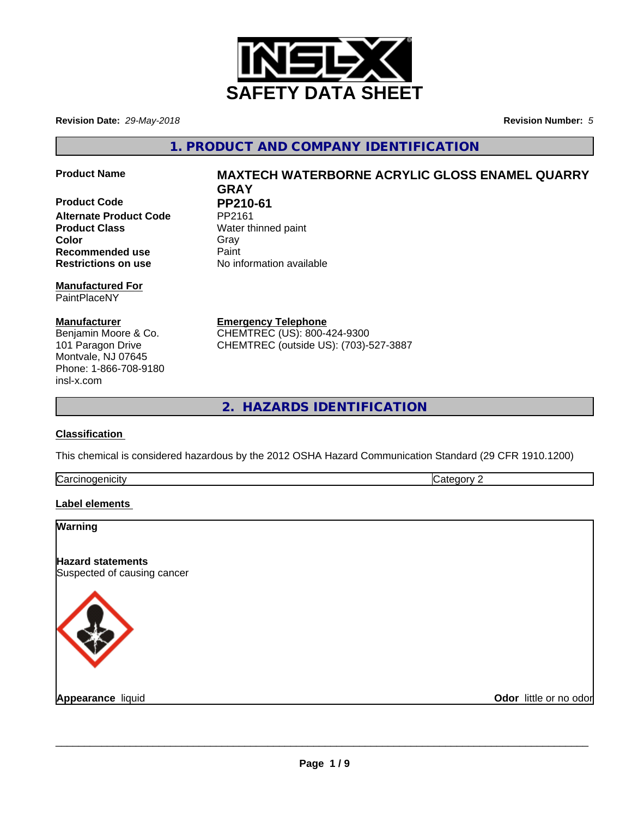

**Revision Date:** *29-May-2018* **Revision Number:** *5*

**1. PRODUCT AND COMPANY IDENTIFICATION**

**Product Code PP210-61**<br>Alternate Product Code PP2161 **Alternate Product Code Product Class** Water thinned paint **Color** Gray Gray **Recommended use** Paint **Restrictions on use** No information available

#### **Manufactured For** PaintPlaceNY

**Manufacturer**

Benjamin Moore & Co. 101 Paragon Drive Montvale, NJ 07645 Phone: 1-866-708-9180 insl-x.com

**Product Name MAXTECH WATERBORNE ACRYLIC GLOSS ENAMEL QUARRY GRAY**

**Emergency Telephone** CHEMTREC (US): 800-424-9300 CHEMTREC (outside US): (703)-527-3887

**2. HAZARDS IDENTIFICATION**

# **Classification**

This chemical is considered hazardous by the 2012 OSHA Hazard Communication Standard (29 CFR 1910.1200)

| ∽<br>Ndi<br>v |  |
|---------------|--|
|               |  |

# **Label elements**

| <b>Warning</b>                                          |                        |
|---------------------------------------------------------|------------------------|
| <b>Hazard statements</b><br>Suspected of causing cancer |                        |
|                                                         |                        |
| Appearance liquid                                       | Odor little or no odor |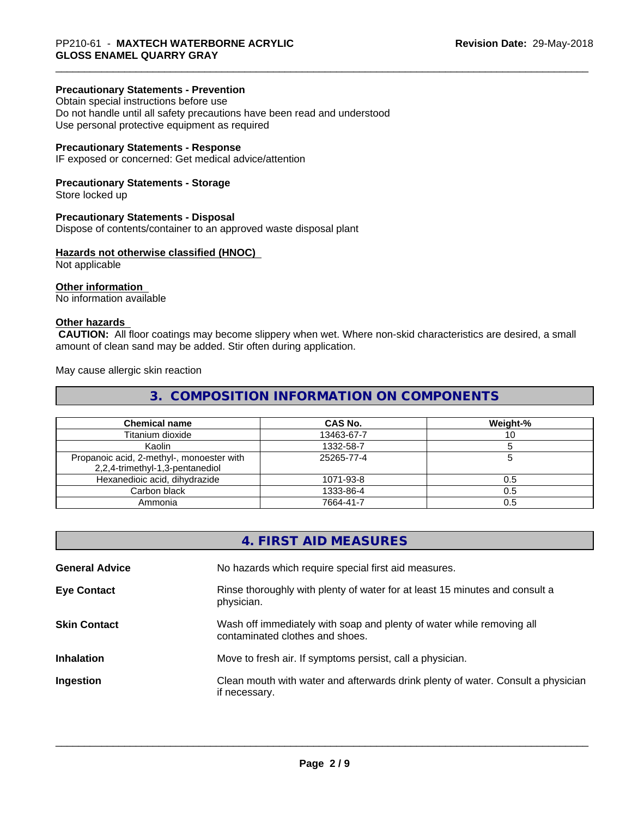### **Precautionary Statements - Prevention**

Obtain special instructions before use Do not handle until all safety precautions have been read and understood Use personal protective equipment as required

# **Precautionary Statements - Response**

IF exposed or concerned: Get medical advice/attention

### **Precautionary Statements - Storage**

Store locked up

#### **Precautionary Statements - Disposal**

Dispose of contents/container to an approved waste disposal plant

### **Hazards not otherwise classified (HNOC)**

Not applicable

#### **Other information**

No information available

### **Other hazards**

 **CAUTION:** All floor coatings may become slippery when wet. Where non-skid characteristics are desired, a small amount of clean sand may be added. Stir often during application.

May cause allergic skin reaction

# **3. COMPOSITION INFORMATION ON COMPONENTS**

| <b>Chemical name</b>                                                         | <b>CAS No.</b> | Weight-% |
|------------------------------------------------------------------------------|----------------|----------|
| Titanium dioxide                                                             | 13463-67-7     |          |
| Kaolin                                                                       | 1332-58-7      |          |
| Propanoic acid, 2-methyl-, monoester with<br>2,2,4-trimethyl-1,3-pentanediol | 25265-77-4     |          |
| Hexanedioic acid, dihydrazide                                                | 1071-93-8      | 0.5      |
| Carbon black                                                                 | 1333-86-4      | 0.5      |
| Ammonia                                                                      | 7664-41-7      | 0.5      |

|                       | 4. FIRST AID MEASURES                                                                                    |
|-----------------------|----------------------------------------------------------------------------------------------------------|
| <b>General Advice</b> | No hazards which require special first aid measures.                                                     |
| <b>Eye Contact</b>    | Rinse thoroughly with plenty of water for at least 15 minutes and consult a<br>physician.                |
| <b>Skin Contact</b>   | Wash off immediately with soap and plenty of water while removing all<br>contaminated clothes and shoes. |
| <b>Inhalation</b>     | Move to fresh air. If symptoms persist, call a physician.                                                |
| Ingestion             | Clean mouth with water and afterwards drink plenty of water. Consult a physician<br>if necessary.        |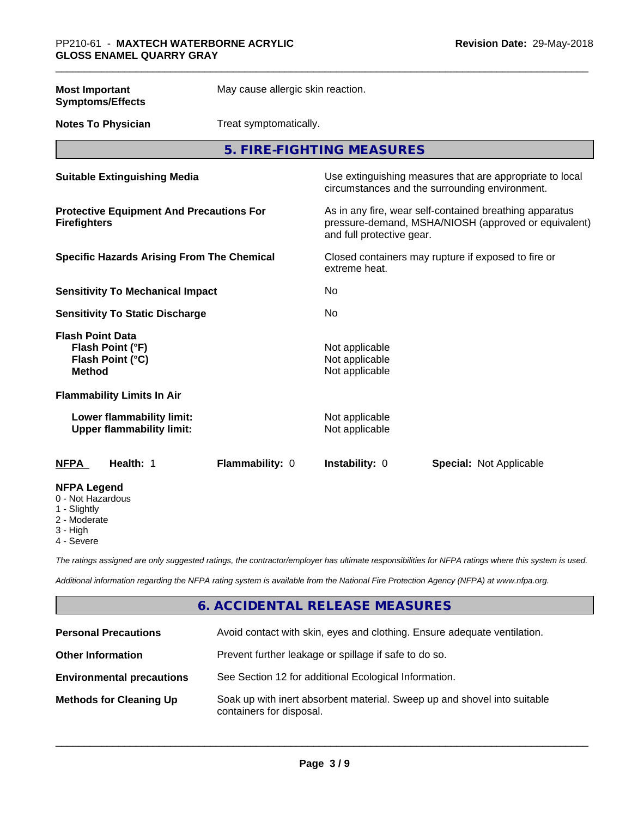| <b>Most Important</b><br><b>Symptoms/Effects</b>                                 | May cause allergic skin reaction. |                                                                                                                                              |                                                                                                            |  |
|----------------------------------------------------------------------------------|-----------------------------------|----------------------------------------------------------------------------------------------------------------------------------------------|------------------------------------------------------------------------------------------------------------|--|
| <b>Notes To Physician</b>                                                        | Treat symptomatically.            |                                                                                                                                              |                                                                                                            |  |
|                                                                                  |                                   | 5. FIRE-FIGHTING MEASURES                                                                                                                    |                                                                                                            |  |
| <b>Suitable Extinguishing Media</b>                                              |                                   |                                                                                                                                              | Use extinguishing measures that are appropriate to local<br>circumstances and the surrounding environment. |  |
| <b>Protective Equipment And Precautions For</b><br><b>Firefighters</b>           |                                   | As in any fire, wear self-contained breathing apparatus<br>pressure-demand, MSHA/NIOSH (approved or equivalent)<br>and full protective gear. |                                                                                                            |  |
| <b>Specific Hazards Arising From The Chemical</b>                                |                                   | Closed containers may rupture if exposed to fire or<br>extreme heat.                                                                         |                                                                                                            |  |
| <b>Sensitivity To Mechanical Impact</b>                                          |                                   | No                                                                                                                                           |                                                                                                            |  |
| <b>Sensitivity To Static Discharge</b>                                           |                                   | No                                                                                                                                           |                                                                                                            |  |
| <b>Flash Point Data</b><br>Flash Point (°F)<br>Flash Point (°C)<br><b>Method</b> |                                   | Not applicable<br>Not applicable<br>Not applicable                                                                                           |                                                                                                            |  |
| <b>Flammability Limits In Air</b>                                                |                                   |                                                                                                                                              |                                                                                                            |  |
| Lower flammability limit:<br><b>Upper flammability limit:</b>                    |                                   | Not applicable<br>Not applicable                                                                                                             |                                                                                                            |  |
| Health: 1<br><b>NFPA</b>                                                         | Flammability: 0                   | Instability: 0                                                                                                                               | <b>Special: Not Applicable</b>                                                                             |  |
| <b>NFPA Legend</b><br>0 - Not Hazardous<br>1 - Slightly                          |                                   |                                                                                                                                              |                                                                                                            |  |

- 2 Moderate
- 3 High
- 4 Severe

*The ratings assigned are only suggested ratings, the contractor/employer has ultimate responsibilities for NFPA ratings where this system is used.*

*Additional information regarding the NFPA rating system is available from the National Fire Protection Agency (NFPA) at www.nfpa.org.*

# **6. ACCIDENTAL RELEASE MEASURES**

| <b>Personal Precautions</b>      | Avoid contact with skin, eyes and clothing. Ensure adequate ventilation.                             |
|----------------------------------|------------------------------------------------------------------------------------------------------|
| <b>Other Information</b>         | Prevent further leakage or spillage if safe to do so.                                                |
| <b>Environmental precautions</b> | See Section 12 for additional Ecological Information.                                                |
| <b>Methods for Cleaning Up</b>   | Soak up with inert absorbent material. Sweep up and shovel into suitable<br>containers for disposal. |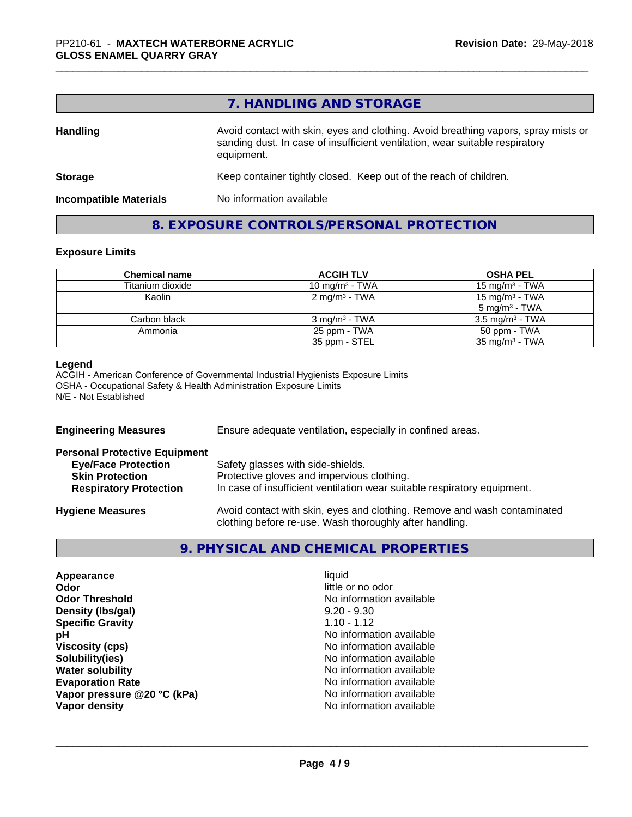|                               | 7. HANDLING AND STORAGE                                                                                                                                                          |
|-------------------------------|----------------------------------------------------------------------------------------------------------------------------------------------------------------------------------|
| <b>Handling</b>               | Avoid contact with skin, eyes and clothing. Avoid breathing vapors, spray mists or<br>sanding dust. In case of insufficient ventilation, wear suitable respiratory<br>equipment. |
| <b>Storage</b>                | Keep container tightly closed. Keep out of the reach of children.                                                                                                                |
| <b>Incompatible Materials</b> | No information available                                                                                                                                                         |

# **8. EXPOSURE CONTROLS/PERSONAL PROTECTION**

#### **Exposure Limits**

| <b>Chemical name</b> | <b>ACGIH TLV</b>          | <b>OSHA PEL</b>            |
|----------------------|---------------------------|----------------------------|
| Titanium dioxide     | 10 mg/m $3$ - TWA         | 15 mg/m $3$ - TWA          |
| Kaolin               | 2 mg/m <sup>3</sup> - TWA | 15 mg/m <sup>3</sup> - TWA |
|                      |                           | $5 \text{ ma/m}^3$ - TWA   |
| Carbon black         | $3 \text{ mg/m}^3$ - TWA  | $3.5 \text{ mg/m}^3$ - TWA |
| Ammonia              | 25 ppm - TWA              | 50 ppm - TWA               |
|                      | 35 ppm - STEL             | $35 \text{ mg/m}^3$ - TWA  |

#### **Legend**

ACGIH - American Conference of Governmental Industrial Hygienists Exposure Limits OSHA - Occupational Safety & Health Administration Exposure Limits N/E - Not Established

| <b>Engineering Measures</b>          | Ensure adequate ventilation, especially in confined areas.                                                                          |  |  |
|--------------------------------------|-------------------------------------------------------------------------------------------------------------------------------------|--|--|
| <b>Personal Protective Equipment</b> |                                                                                                                                     |  |  |
| <b>Eye/Face Protection</b>           | Safety glasses with side-shields.                                                                                                   |  |  |
| <b>Skin Protection</b>               | Protective gloves and impervious clothing.                                                                                          |  |  |
| <b>Respiratory Protection</b>        | In case of insufficient ventilation wear suitable respiratory equipment.                                                            |  |  |
| <b>Hygiene Measures</b>              | Avoid contact with skin, eyes and clothing. Remove and wash contaminated<br>clothing before re-use. Wash thoroughly after handling. |  |  |
|                                      |                                                                                                                                     |  |  |

# **9. PHYSICAL AND CHEMICAL PROPERTIES**

| Appearance                  | liquid                   |
|-----------------------------|--------------------------|
| Odor                        | little or no odor        |
| <b>Odor Threshold</b>       | No information available |
| Density (Ibs/gal)           | $9.20 - 9.30$            |
| <b>Specific Gravity</b>     | $1.10 - 1.12$            |
| рH                          | No information available |
| <b>Viscosity (cps)</b>      | No information available |
| Solubility(ies)             | No information available |
| <b>Water solubility</b>     | No information available |
| <b>Evaporation Rate</b>     | No information available |
| Vapor pressure @20 °C (kPa) | No information available |
| Vapor density               | No information available |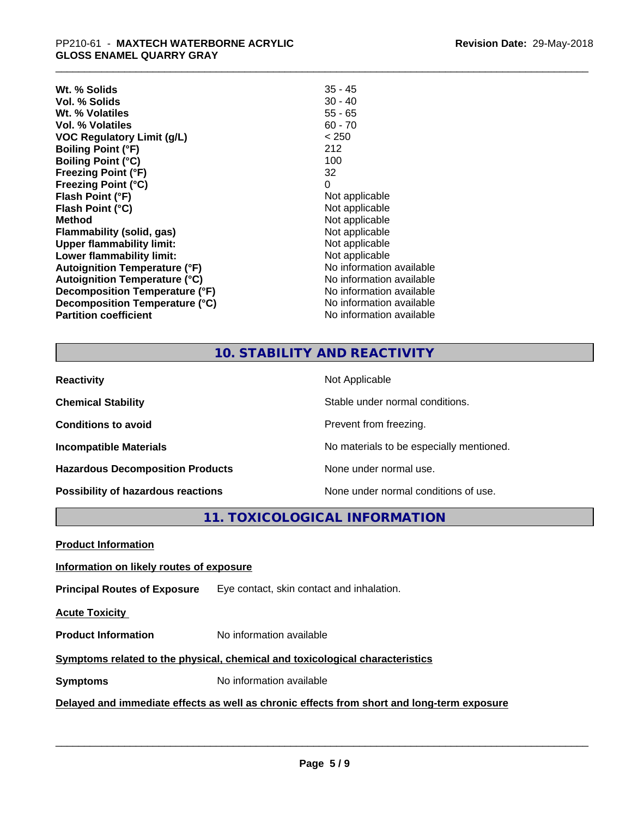| Wt. % Solids                     | $35 - 45$                |
|----------------------------------|--------------------------|
| Vol. % Solids                    | $30 - 40$                |
| Wt. % Volatiles                  | $55 - 65$                |
| Vol. % Volatiles                 | $60 - 70$                |
| VOC Regulatory Limit (g/L)       | < 250                    |
| <b>Boiling Point (°F)</b>        | 212                      |
| Boiling Point (°C)               | 100                      |
| <b>Freezing Point (°F)</b>       | 32                       |
| Freezing Point (°C)              | 0                        |
| Flash Point (°F)                 | Not applicable           |
| Flash Point (°C)                 | Not applicable           |
| Method                           | Not applicable           |
| Flammability (solid, gas)        | Not applicable           |
| <b>Upper flammability limit:</b> | Not applicable           |
| Lower flammability limit:        | Not applicable           |
| Autoignition Temperature (°F)    | No information available |
| Autoignition Temperature (°C)    | No information available |
| Decomposition Temperature (°F)   | No information available |
| Decomposition Temperature (°C)   | No information available |
| <b>Partition coefficient</b>     | No information available |
|                                  |                          |

# **10. STABILITY AND REACTIVITY**

| <b>Reactivity</b>                       | Not Applicable                           |
|-----------------------------------------|------------------------------------------|
| <b>Chemical Stability</b>               | Stable under normal conditions.          |
| <b>Conditions to avoid</b>              | Prevent from freezing.                   |
| <b>Incompatible Materials</b>           | No materials to be especially mentioned. |
| <b>Hazardous Decomposition Products</b> | None under normal use.                   |
| Possibility of hazardous reactions      | None under normal conditions of use.     |

**11. TOXICOLOGICAL INFORMATION**

**Product Information**

#### **Information on likely routes of exposure**

**Principal Routes of Exposure** Eye contact, skin contact and inhalation.

**Acute Toxicity** 

**Product Information** No information available

# **Symptoms** related to the physical, chemical and toxicological characteristics

**Symptoms** No information available

**Delayed and immediate effects as well as chronic effects from short and long-term exposure**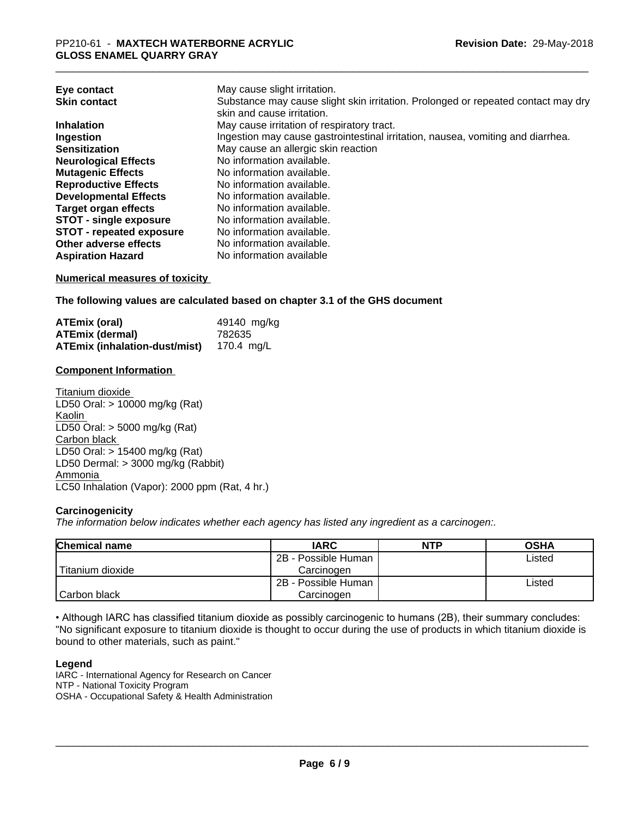| May cause slight irritation.                                                      |
|-----------------------------------------------------------------------------------|
| Substance may cause slight skin irritation. Prolonged or repeated contact may dry |
| skin and cause irritation.                                                        |
| May cause irritation of respiratory tract.                                        |
| Ingestion may cause gastrointestinal irritation, nausea, vomiting and diarrhea.   |
| May cause an allergic skin reaction                                               |
| No information available.                                                         |
| No information available.                                                         |
| No information available.                                                         |
| No information available.                                                         |
| No information available.                                                         |
| No information available.                                                         |
| No information available.                                                         |
| No information available.                                                         |
| No information available                                                          |
|                                                                                   |

#### **Numerical measures of toxicity**

**The following values are calculated based on chapter 3.1 of the GHS document**

| <b>ATEmix (oral)</b>                            | 49140 mg/kg |
|-------------------------------------------------|-------------|
| <b>ATEmix (dermal)</b>                          | 782635      |
| <b>ATEmix (inhalation-dust/mist)</b> 170.4 mg/L |             |

#### **Component Information**

Titanium dioxide LD50 Oral: > 10000 mg/kg (Rat) Kaolin LD50 Oral: > 5000 mg/kg (Rat) Carbon black LD50 Oral: > 15400 mg/kg (Rat) LD50 Dermal: > 3000 mg/kg (Rabbit) Ammonia LC50 Inhalation (Vapor): 2000 ppm (Rat, 4 hr.)

### **Carcinogenicity**

*The information below indicateswhether each agency has listed any ingredient as a carcinogen:.*

| <b>Chemical name</b> | <b>IARC</b>         | <b>NTP</b> | <b>OSHA</b> |
|----------------------|---------------------|------------|-------------|
|                      | 2B - Possible Human |            | Listed      |
| Titanium dioxide     | Carcinoɑen          |            |             |
|                      | 2B - Possible Human |            | Listed      |
| Carbon black         | Carcinogen          |            |             |

• Although IARC has classified titanium dioxide as possibly carcinogenic to humans (2B), their summary concludes: "No significant exposure to titanium dioxide is thought to occur during the use of products in which titanium dioxide is bound to other materials, such as paint."

#### **Legend**

IARC - International Agency for Research on Cancer NTP - National Toxicity Program OSHA - Occupational Safety & Health Administration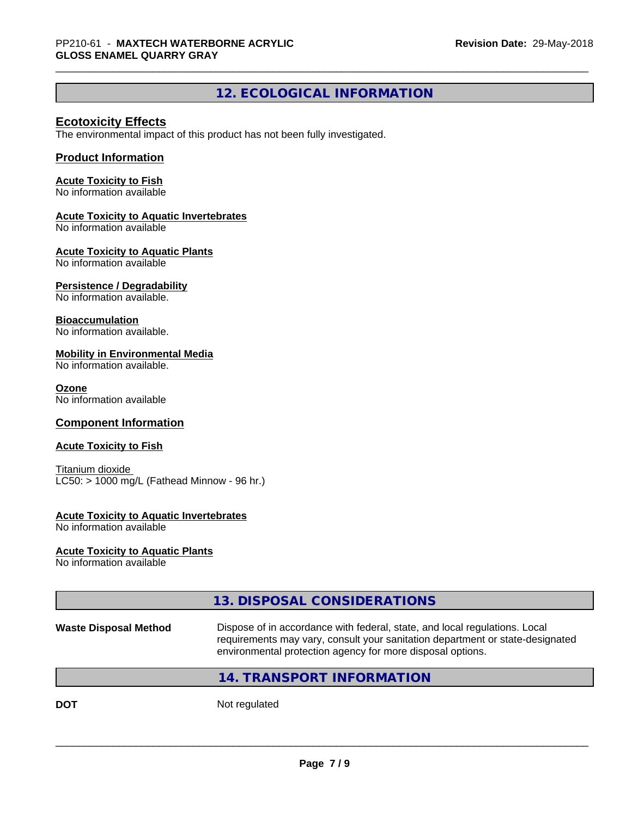# **12. ECOLOGICAL INFORMATION**

# **Ecotoxicity Effects**

The environmental impact of this product has not been fully investigated.

### **Product Information**

#### **Acute Toxicity to Fish**

No information available

#### **Acute Toxicity to Aquatic Invertebrates**

No information available

#### **Acute Toxicity to Aquatic Plants**

No information available

#### **Persistence / Degradability**

No information available.

#### **Bioaccumulation**

No information available.

#### **Mobility in Environmental Media**

No information available.

#### **Ozone**

No information available

#### **Component Information**

#### **Acute Toxicity to Fish**

Titanium dioxide  $LC50:$  > 1000 mg/L (Fathead Minnow - 96 hr.)

#### **Acute Toxicity to Aquatic Invertebrates**

No information available

#### **Acute Toxicity to Aquatic Plants**

No information available

# **13. DISPOSAL CONSIDERATIONS**

**Waste Disposal Method** Dispose of in accordance with federal, state, and local regulations. Local requirements may vary, consult your sanitation department or state-designated environmental protection agency for more disposal options.

 $\overline{\phantom{a}}$  ,  $\overline{\phantom{a}}$  ,  $\overline{\phantom{a}}$  ,  $\overline{\phantom{a}}$  ,  $\overline{\phantom{a}}$  ,  $\overline{\phantom{a}}$  ,  $\overline{\phantom{a}}$  ,  $\overline{\phantom{a}}$  ,  $\overline{\phantom{a}}$  ,  $\overline{\phantom{a}}$  ,  $\overline{\phantom{a}}$  ,  $\overline{\phantom{a}}$  ,  $\overline{\phantom{a}}$  ,  $\overline{\phantom{a}}$  ,  $\overline{\phantom{a}}$  ,  $\overline{\phantom{a}}$ 

# **14. TRANSPORT INFORMATION**

**DOT** Not regulated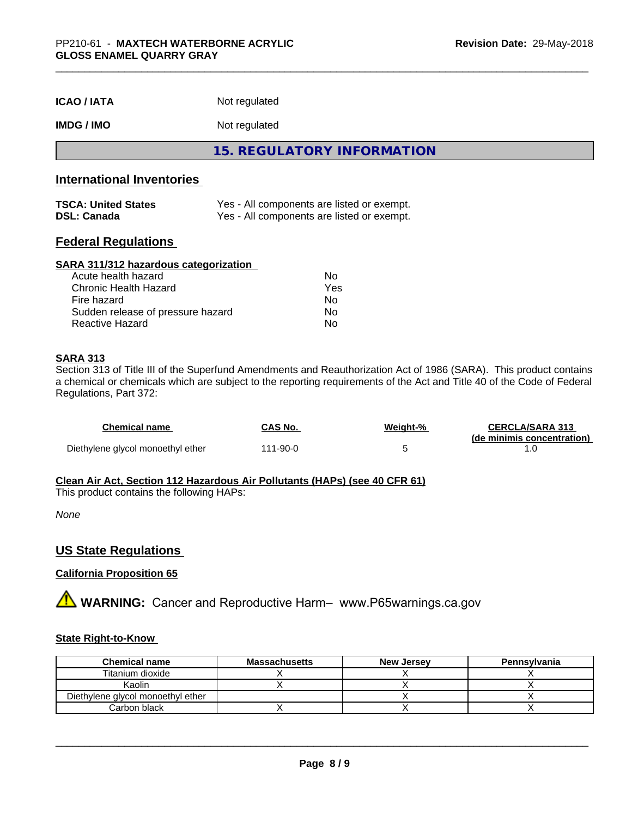| <b>ICAO / IATA</b> | Not regulated |
|--------------------|---------------|
|--------------------|---------------|

# **IMDG / IMO** Not regulated

**15. REGULATORY INFORMATION**

# **International Inventories**

| <b>TSCA: United States</b> | Yes - All components are listed or exempt. |
|----------------------------|--------------------------------------------|
| <b>DSL: Canada</b>         | Yes - All components are listed or exempt. |

# **Federal Regulations**

#### **SARA 311/312 hazardous categorization**

| Acute health hazard               | N٥  |
|-----------------------------------|-----|
| Chronic Health Hazard             | Yes |
| Fire hazard                       | Nο  |
| Sudden release of pressure hazard | Nο  |
| Reactive Hazard                   | N٥  |

### **SARA 313**

Section 313 of Title III of the Superfund Amendments and Reauthorization Act of 1986 (SARA). This product contains a chemical or chemicals which are subject to the reporting requirements of the Act and Title 40 of the Code of Federal Regulations, Part 372:

| <b>Chemical name</b>              | <b>CAS No.</b> | Weight-% | <b>CERCLA/SARA 313</b>     |
|-----------------------------------|----------------|----------|----------------------------|
|                                   |                |          | (de minimis concentration) |
| Diethylene glycol monoethyl ether | 111-90-0       |          |                            |

#### **Clean Air Act,Section 112 Hazardous Air Pollutants (HAPs) (see 40 CFR 61)**

This product contains the following HAPs:

*None*

# **US State Regulations**

# **California Proposition 65**

**AVIMARNING:** Cancer and Reproductive Harm– www.P65warnings.ca.gov

#### **State Right-to-Know**

| <b>Chemical name</b>              | <b>Massachusetts</b> | <b>New Jersey</b> | Pennsylvania |
|-----------------------------------|----------------------|-------------------|--------------|
| Titanium dioxide                  |                      |                   |              |
| Kaolin                            |                      |                   |              |
| Diethylene glycol monoethyl ether |                      |                   |              |
| Carbon black                      |                      |                   |              |